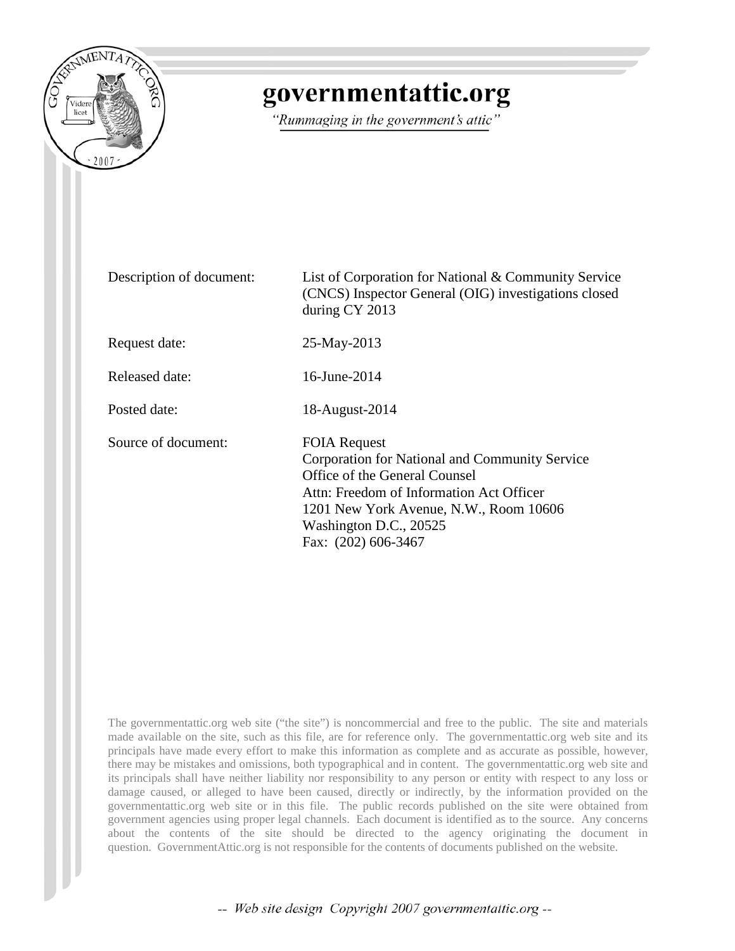

## governmentattic.org

"Rummaging in the government's attic"

Description of document: List of Corporation for National & Community Service (CNCS) Inspector General (OIG) investigations closed during CY 2013 Request date: 25-May-2013 Released date: 16-June-2014 Posted date: 18-August-2014 Source of document: FOIA Request Corporation for National and Community Service Office of the General Counsel Attn: Freedom of Information Act Officer 1201 New York Avenue, N.W., Room 10606 Washington D.C., 20525 Fax: (202) 606-3467

The governmentattic.org web site ("the site") is noncommercial and free to the public. The site and materials made available on the site, such as this file, are for reference only. The governmentattic.org web site and its principals have made every effort to make this information as complete and as accurate as possible, however, there may be mistakes and omissions, both typographical and in content. The governmentattic.org web site and its principals shall have neither liability nor responsibility to any person or entity with respect to any loss or damage caused, or alleged to have been caused, directly or indirectly, by the information provided on the governmentattic.org web site or in this file. The public records published on the site were obtained from government agencies using proper legal channels. Each document is identified as to the source. Any concerns about the contents of the site should be directed to the agency originating the document in question. GovernmentAttic.org is not responsible for the contents of documents published on the website.

-- Web site design Copyright 2007 governmentattic.org --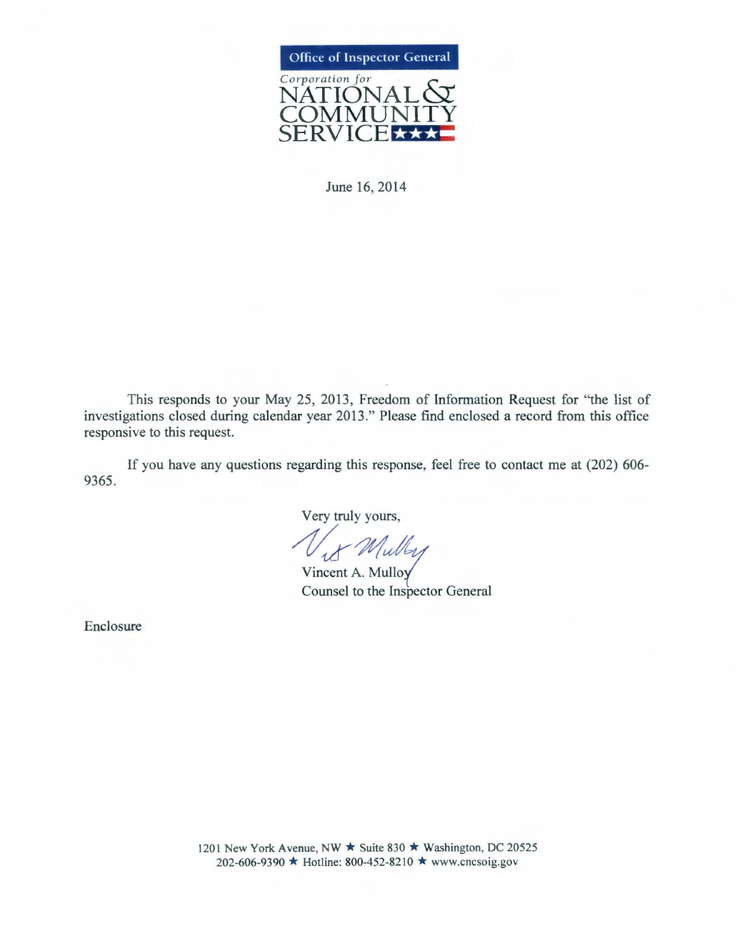

June 16, 2014

This responds to your May 25, 2013, Freedom of Information Request for "the list of investigations closed during calendar year 2013." Please find enclosed a record from this office responsive to this request.

If you have any questions regarding this response, feel free to contact me at (202) 606- 9365.

Very truly yours,

With Mulley<br>Vincent A. Mulloy<br>Counsel to the Inspector General

Enclosure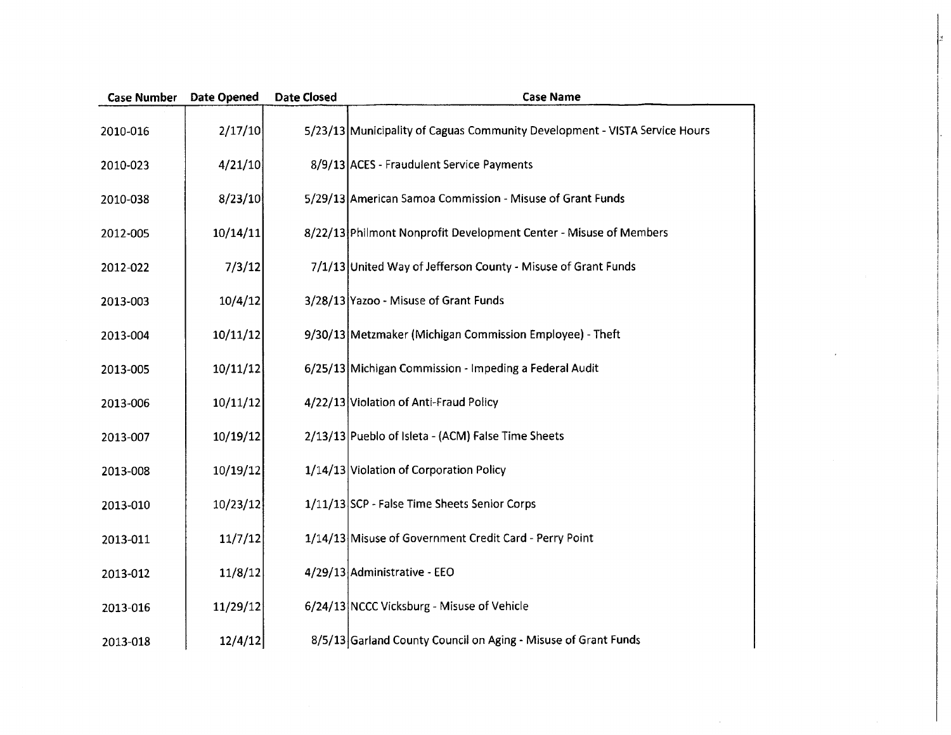| <b>Case Number</b> | Date Opened | <b>Date Closed</b> | <b>Case Name</b>                                                           |
|--------------------|-------------|--------------------|----------------------------------------------------------------------------|
| 2010-016           | 2/17/10     |                    | 5/23/13 Municipality of Caguas Community Development - VISTA Service Hours |
| 2010-023           | 4/21/10     |                    | 8/9/13 ACES - Fraudulent Service Payments                                  |
| 2010-038           | 8/23/10     |                    | 5/29/13 American Samoa Commission - Misuse of Grant Funds                  |
| 2012-005           | 10/14/11    |                    | 8/22/13 Philmont Nonprofit Development Center - Misuse of Members          |
| 2012-022           | 7/3/12      |                    | 7/1/13 United Way of Jefferson County - Misuse of Grant Funds              |
| 2013-003           | 10/4/12     |                    | 3/28/13 Yazoo - Misuse of Grant Funds                                      |
| 2013-004           | 10/11/12    |                    | 9/30/13 Metzmaker (Michigan Commission Employee) - Theft                   |
| 2013-005           | 10/11/12    |                    | 6/25/13 Michigan Commission - Impeding a Federal Audit                     |
| 2013-006           | 10/11/12    |                    | 4/22/13 Violation of Anti-Fraud Policy                                     |
| 2013-007           | 10/19/12    |                    | 2/13/13 Pueblo of Isleta - (ACM) False Time Sheets                         |
| 2013-008           | 10/19/12    |                    | 1/14/13 Violation of Corporation Policy                                    |
| 2013-010           | 10/23/12    |                    | 1/11/13 SCP - False Time Sheets Senior Corps                               |
| 2013-011           | 11/7/12     |                    | 1/14/13 Misuse of Government Credit Card - Perry Point                     |
| 2013-012           | 11/8/12     |                    | 4/29/13 Administrative - EEO                                               |
| 2013-016           | 11/29/12    |                    | 6/24/13 NCCC Vicksburg - Misuse of Vehicle                                 |
| 2013-018           | 12/4/12     |                    | 8/5/13 Garland County Council on Aging - Misuse of Grant Funds             |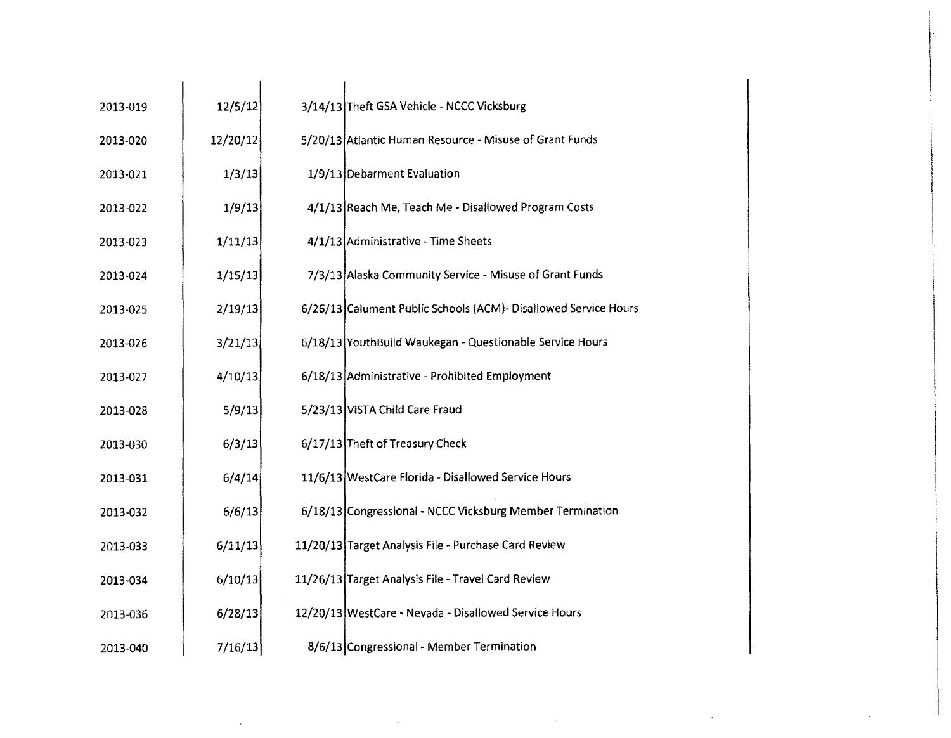| 2013-019 | 12/5/12  | 3/14/13 Theft GSA Vehicle - NCCC Vicksburg                      |
|----------|----------|-----------------------------------------------------------------|
| 2013-020 | 12/20/12 | 5/20/13 Atlantic Human Resource - Misuse of Grant Funds         |
| 2013-021 | 1/3/13   | 1/9/13 Debarment Evaluation                                     |
| 2013-022 | 1/9/13   | 4/1/13 Reach Me, Teach Me - Disallowed Program Costs            |
| 2013-023 | 1/11/13  | 4/1/13 Administrative - Time Sheets                             |
| 2013-024 | 1/15/13  | 7/3/13 Alaska Community Service - Misuse of Grant Funds         |
| 2013-025 | 2/19/13  | 6/26/13 Calument Public Schools (ACM)- Disallowed Service Hours |
| 2013-026 | 3/21/13  | 6/18/13 YouthBuild Waukegan - Questionable Service Hours        |
| 2013-027 | 4/10/13  | 6/18/13 Administrative - Prohibited Employment                  |
| 2013-028 | 5/9/13   | 5/23/13 VISTA Child Care Fraud                                  |
| 2013-030 | 6/3/13   | 6/17/13 Theft of Treasury Check                                 |
| 2013-031 | 6/4/14   | 11/6/13 WestCare Florida - Disallowed Service Hours             |
| 2013-032 | 6/6/13   | 6/18/13 Congressional - NCCC Vicksburg Member Termination       |
| 2013-033 | 6/11/13  | 11/20/13 Target Analysis File - Purchase Card Review            |
| 2013-034 | 6/10/13  | 11/26/13 Target Analysis File - Travel Card Review              |
| 2013-036 | 6/28/13  | 12/20/13 WestCare - Nevada - Disallowed Service Hours           |
| 2013-040 | 7/16/13  | 8/6/13 Congressional - Member Termination                       |

 $\sim 80$ 

 $\mathcal{L}(\mathcal{A})$  and  $\mathcal{L}(\mathcal{A})$  are the set of the set of the set of the set of the set of  $\mathcal{L}(\mathcal{A})$ 

1-

l

 $\mathcal{A}_{\mathcal{A}}$ 

 $\sim 100$